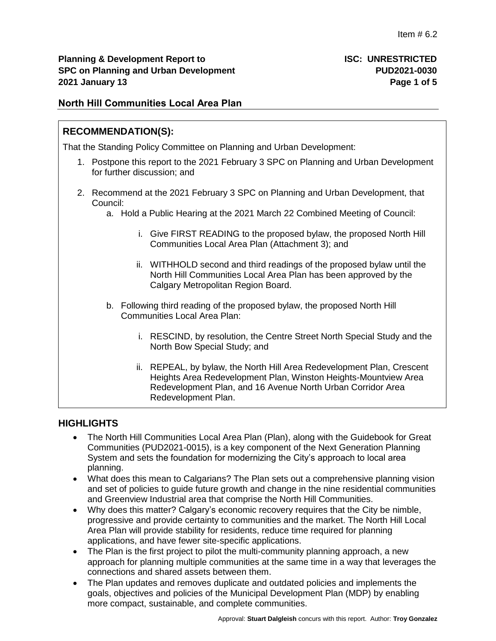# **North Hill Communities Local Area Plan**

# **RECOMMENDATION(S):**

That the Standing Policy Committee on Planning and Urban Development:

- 1. Postpone this report to the 2021 February 3 SPC on Planning and Urban Development for further discussion; and
- 2. Recommend at the 2021 February 3 SPC on Planning and Urban Development, that Council:
	- a. Hold a Public Hearing at the 2021 March 22 Combined Meeting of Council:
		- i. Give FIRST READING to the proposed bylaw, the proposed North Hill Communities Local Area Plan (Attachment 3); and
		- ii. WITHHOLD second and third readings of the proposed bylaw until the North Hill Communities Local Area Plan has been approved by the Calgary Metropolitan Region Board.
	- b. Following third reading of the proposed bylaw, the proposed North Hill Communities Local Area Plan:
		- i. RESCIND, by resolution, the Centre Street North Special Study and the North Bow Special Study; and
		- ii. REPEAL, by bylaw, the North Hill Area Redevelopment Plan, Crescent Heights Area Redevelopment Plan, Winston Heights-Mountview Area Redevelopment Plan, and 16 Avenue North Urban Corridor Area Redevelopment Plan.

# **HIGHLIGHTS**

- The North Hill Communities Local Area Plan (Plan), along with the Guidebook for Great Communities (PUD2021-0015), is a key component of the Next Generation Planning System and sets the foundation for modernizing the City's approach to local area planning.
- What does this mean to Calgarians? The Plan sets out a comprehensive planning vision and set of policies to guide future growth and change in the nine residential communities and Greenview Industrial area that comprise the North Hill Communities.
- Why does this matter? Calgary's economic recovery requires that the City be nimble, progressive and provide certainty to communities and the market. The North Hill Local Area Plan will provide stability for residents, reduce time required for planning applications, and have fewer site-specific applications.
- The Plan is the first project to pilot the multi-community planning approach, a new approach for planning multiple communities at the same time in a way that leverages the connections and shared assets between them.
- The Plan updates and removes duplicate and outdated policies and implements the goals, objectives and policies of the Municipal Development Plan (MDP) by enabling more compact, sustainable, and complete communities.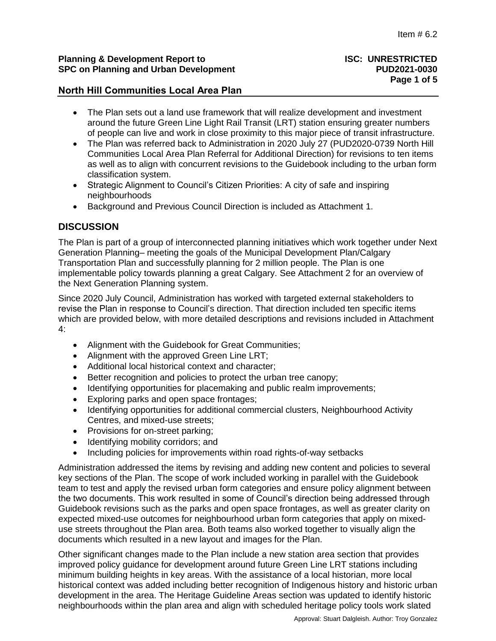#### **Planning & Development Report to ISC: UNRESTRICTED SPC on Planning and Urban Development PUD2021-0030**

## **North Hill Communities Local Area Plan**

- The Plan sets out a land use framework that will realize development and investment around the future Green Line Light Rail Transit (LRT) station ensuring greater numbers of people can live and work in close proximity to this major piece of transit infrastructure.
- The Plan was referred back to Administration in 2020 July 27 (PUD2020-0739 North Hill Communities Local Area Plan Referral for Additional Direction) for revisions to ten items as well as to align with concurrent revisions to the Guidebook including to the urban form classification system.
- Strategic Alignment to Council's Citizen Priorities: A city of safe and inspiring neighbourhoods
- Background and Previous Council Direction is included as Attachment 1.

# **DISCUSSION**

The Plan is part of a group of interconnected planning initiatives which work together under Next Generation Planning– meeting the goals of the Municipal Development Plan/Calgary Transportation Plan and successfully planning for 2 million people. The Plan is one implementable policy towards planning a great Calgary. See Attachment 2 for an overview of the Next Generation Planning system.

Since 2020 July Council, Administration has worked with targeted external stakeholders to revise the Plan in response to Council's direction. That direction included ten specific items which are provided below, with more detailed descriptions and revisions included in Attachment 4:

- Alignment with the Guidebook for Great Communities;
- Alignment with the approved Green Line LRT;
- Additional local historical context and character:
- Better recognition and policies to protect the urban tree canopy;
- Identifying opportunities for placemaking and public realm improvements;
- Exploring parks and open space frontages;
- Identifying opportunities for additional commercial clusters, Neighbourhood Activity Centres, and mixed-use streets;
- Provisions for on-street parking;
- Identifying mobility corridors; and
- Including policies for improvements within road rights-of-way setbacks

Administration addressed the items by revising and adding new content and policies to several key sections of the Plan. The scope of work included working in parallel with the Guidebook team to test and apply the revised urban form categories and ensure policy alignment between the two documents. This work resulted in some of Council's direction being addressed through Guidebook revisions such as the parks and open space frontages, as well as greater clarity on expected mixed-use outcomes for neighbourhood urban form categories that apply on mixeduse streets throughout the Plan area. Both teams also worked together to visually align the documents which resulted in a new layout and images for the Plan.

Other significant changes made to the Plan include a new station area section that provides improved policy guidance for development around future Green Line LRT stations including minimum building heights in key areas. With the assistance of a local historian, more local historical context was added including better recognition of Indigenous history and historic urban development in the area. The Heritage Guideline Areas section was updated to identify historic neighbourhoods within the plan area and align with scheduled heritage policy tools work slated

# **Page 1 of 5**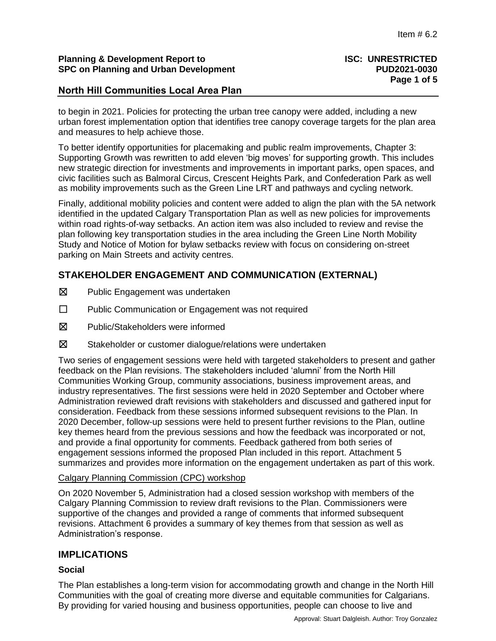#### **Planning & Development Report to ISC: UNRESTRICTED SPC on Planning and Urban Development PUD2021-0030**

## **North Hill Communities Local Area Plan**

to begin in 2021. Policies for protecting the urban tree canopy were added, including a new urban forest implementation option that identifies tree canopy coverage targets for the plan area and measures to help achieve those.

To better identify opportunities for placemaking and public realm improvements, Chapter 3: Supporting Growth was rewritten to add eleven 'big moves' for supporting growth. This includes new strategic direction for investments and improvements in important parks, open spaces, and civic facilities such as Balmoral Circus, Crescent Heights Park, and Confederation Park as well as mobility improvements such as the Green Line LRT and pathways and cycling network.

Finally, additional mobility policies and content were added to align the plan with the 5A network identified in the updated Calgary Transportation Plan as well as new policies for improvements within road rights-of-way setbacks. An action item was also included to review and revise the plan following key transportation studies in the area including the Green Line North Mobility Study and Notice of Motion for bylaw setbacks review with focus on considering on-street parking on Main Streets and activity centres.

# **STAKEHOLDER ENGAGEMENT AND COMMUNICATION (EXTERNAL)**

- ☒ Public Engagement was undertaken
- ☐ Public Communication or Engagement was not required
- ☒ Public/Stakeholders were informed
- ☒ Stakeholder or customer dialogue/relations were undertaken

Two series of engagement sessions were held with targeted stakeholders to present and gather feedback on the Plan revisions. The stakeholders included 'alumni' from the North Hill Communities Working Group, community associations, business improvement areas, and industry representatives. The first sessions were held in 2020 September and October where Administration reviewed draft revisions with stakeholders and discussed and gathered input for consideration. Feedback from these sessions informed subsequent revisions to the Plan. In 2020 December, follow-up sessions were held to present further revisions to the Plan, outline key themes heard from the previous sessions and how the feedback was incorporated or not, and provide a final opportunity for comments. Feedback gathered from both series of engagement sessions informed the proposed Plan included in this report. Attachment 5 summarizes and provides more information on the engagement undertaken as part of this work.

#### Calgary Planning Commission (CPC) workshop

On 2020 November 5, Administration had a closed session workshop with members of the Calgary Planning Commission to review draft revisions to the Plan. Commissioners were supportive of the changes and provided a range of comments that informed subsequent revisions. Attachment 6 provides a summary of key themes from that session as well as Administration's response.

# **IMPLICATIONS**

#### **Social**

The Plan establishes a long-term vision for accommodating growth and change in the North Hill Communities with the goal of creating more diverse and equitable communities for Calgarians. By providing for varied housing and business opportunities, people can choose to live and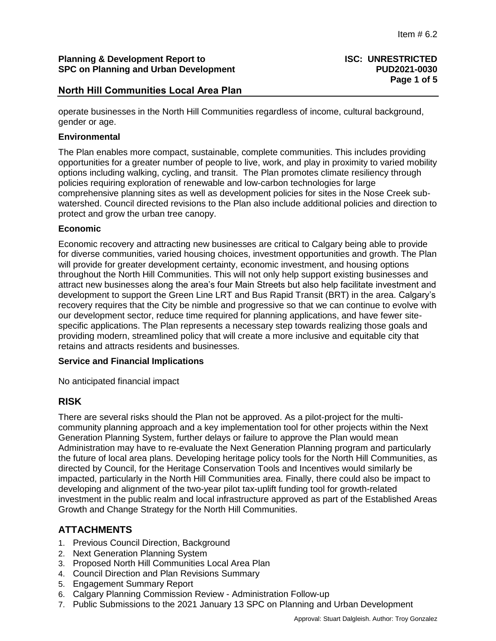## **Planning & Development Report to ISC: UNRESTRICTED SPC on Planning and Urban Development PUD2021-0030**

# **North Hill Communities Local Area Plan**

operate businesses in the North Hill Communities regardless of income, cultural background, gender or age.

#### **Environmental**

The Plan enables more compact, sustainable, complete communities. This includes providing opportunities for a greater number of people to live, work, and play in proximity to varied mobility options including walking, cycling, and transit. The Plan promotes climate resiliency through policies requiring exploration of renewable and low-carbon technologies for large comprehensive planning sites as well as development policies for sites in the Nose Creek subwatershed. Council directed revisions to the Plan also include additional policies and direction to protect and grow the urban tree canopy.

#### **Economic**

Economic recovery and attracting new businesses are critical to Calgary being able to provide for diverse communities, varied housing choices, investment opportunities and growth. The Plan will provide for greater development certainty, economic investment, and housing options throughout the North Hill Communities. This will not only help support existing businesses and attract new businesses along the area's four Main Streets but also help facilitate investment and development to support the Green Line LRT and Bus Rapid Transit (BRT) in the area. Calgary's recovery requires that the City be nimble and progressive so that we can continue to evolve with our development sector, reduce time required for planning applications, and have fewer sitespecific applications. The Plan represents a necessary step towards realizing those goals and providing modern, streamlined policy that will create a more inclusive and equitable city that retains and attracts residents and businesses.

#### **Service and Financial Implications**

No anticipated financial impact

# **RISK**

There are several risks should the Plan not be approved. As a pilot-project for the multicommunity planning approach and a key implementation tool for other projects within the Next Generation Planning System, further delays or failure to approve the Plan would mean Administration may have to re-evaluate the Next Generation Planning program and particularly the future of local area plans. Developing heritage policy tools for the North Hill Communities, as directed by Council, for the Heritage Conservation Tools and Incentives would similarly be impacted, particularly in the North Hill Communities area. Finally, there could also be impact to developing and alignment of the two-year pilot tax-uplift funding tool for growth-related investment in the public realm and local infrastructure approved as part of the Established Areas Growth and Change Strategy for the North Hill Communities.

# **ATTACHMENTS**

- 1. Previous Council Direction, Background
- 2. Next Generation Planning System
- 3. Proposed North Hill Communities Local Area Plan
- 4. Council Direction and Plan Revisions Summary
- 5. Engagement Summary Report
- 6. Calgary Planning Commission Review Administration Follow-up
- 7. Public Submissions to the 2021 January 13 SPC on Planning and Urban Development